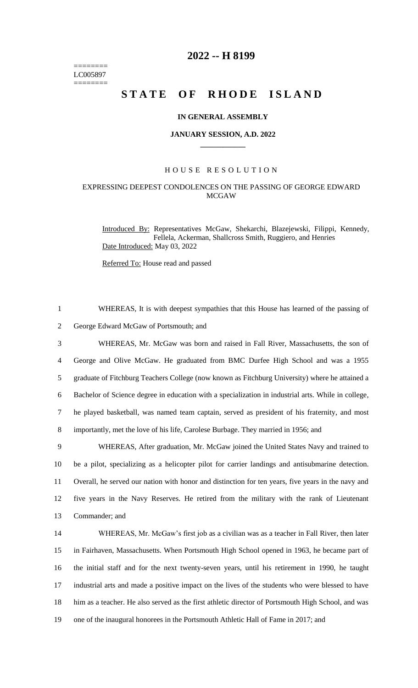======== LC005897 ========

# **2022 -- H 8199**

# **STATE OF RHODE ISLAND**

### **IN GENERAL ASSEMBLY**

#### **JANUARY SESSION, A.D. 2022 \_\_\_\_\_\_\_\_\_\_\_\_**

# H O U S E R E S O L U T I O N

# EXPRESSING DEEPEST CONDOLENCES ON THE PASSING OF GEORGE EDWARD MCGAW

Introduced By: Representatives McGaw, Shekarchi, Blazejewski, Filippi, Kennedy, Fellela, Ackerman, Shallcross Smith, Ruggiero, and Henries Date Introduced: May 03, 2022

Referred To: House read and passed

1 WHEREAS, It is with deepest sympathies that this House has learned of the passing of 2 George Edward McGaw of Portsmouth; and

 WHEREAS, Mr. McGaw was born and raised in Fall River, Massachusetts, the son of George and Olive McGaw. He graduated from BMC Durfee High School and was a 1955 graduate of Fitchburg Teachers College (now known as Fitchburg University) where he attained a Bachelor of Science degree in education with a specialization in industrial arts. While in college, he played basketball, was named team captain, served as president of his fraternity, and most importantly, met the love of his life, Carolese Burbage. They married in 1956; and

 WHEREAS, After graduation, Mr. McGaw joined the United States Navy and trained to be a pilot, specializing as a helicopter pilot for carrier landings and antisubmarine detection. Overall, he served our nation with honor and distinction for ten years, five years in the navy and five years in the Navy Reserves. He retired from the military with the rank of Lieutenant Commander; and

 WHEREAS, Mr. McGaw's first job as a civilian was as a teacher in Fall River, then later in Fairhaven, Massachusetts. When Portsmouth High School opened in 1963, he became part of the initial staff and for the next twenty-seven years, until his retirement in 1990, he taught industrial arts and made a positive impact on the lives of the students who were blessed to have him as a teacher. He also served as the first athletic director of Portsmouth High School, and was one of the inaugural honorees in the Portsmouth Athletic Hall of Fame in 2017; and